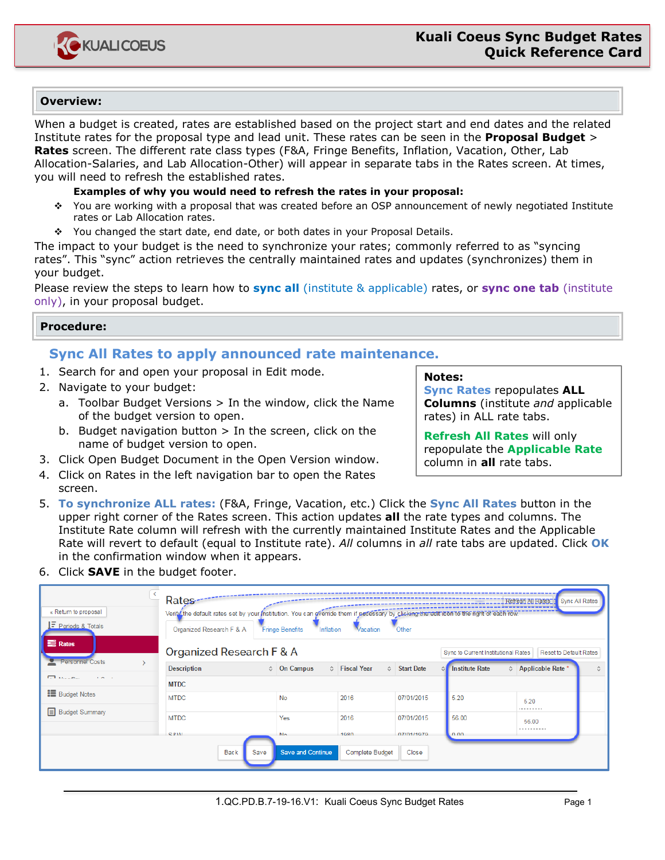

# **Overview:**

When a budget is created, rates are established based on the project start and end dates and the related Institute rates for the proposal type and lead unit. These rates can be seen in the **Proposal Budget** > **Rates** screen. The different rate class types (F&A, Fringe Benefits, Inflation, Vacation, Other, Lab Allocation-Salaries, and Lab Allocation-Other) will appear in separate tabs in the Rates screen. At times, you will need to refresh the established rates.

### **Examples of why you would need to refresh the rates in your proposal:**

- You are working with a proposal that was created before an OSP announcement of newly negotiated Institute rates or Lab Allocation rates.
- You changed the start date, end date, or both dates in your Proposal Details.

The impact to your budget is the need to synchronize your rates; commonly referred to as "syncing rates". This "sync" action retrieves the centrally maintained rates and updates (synchronizes) them in your budget.

Please review the steps to learn how to **sync all** (institute & applicable) rates, or **sync one tab** (institute only), in your proposal budget.

### **Procedure:**

# **Sync All Rates to apply announced rate maintenance.**

- 1. Search for and open your proposal in Edit mode.
- 2. Navigate to your budget:
	- a. Toolbar Budget Versions > In the window, click the Name of the budget version to open.
	- b. Budget navigation button  $>$  In the screen, click on the name of budget version to open.
- 3. Click Open Budget Document in the Open Version window.
- 4. Click on Rates in the left navigation bar to open the Rates screen.

# **Notes:**

**Sync Rates** repopulates **ALL Columns** (institute *and* applicable rates) in ALL rate tabs.

**Refresh All Rates** will only repopulate the **Applicable Rate** column in **all** rate tabs.

- 5. **To synchronize ALL rates:** (F&A, Fringe, Vacation, etc.) Click the **Sync All Rates** button in the upper right corner of the Rates screen. This action updates **all** the rate types and columns. The Institute Rate column will refresh with the currently maintained Institute Rates and the Applicable Rate will revert to default (equal to Institute rate). *All* columns in *all* rate tabs are updated. Click **OK** in the confirmation window when it appears.
- 6. Click **SAVE** in the budget footer.

| « Return to proposal<br><b>IF</b> Periods & Totals | Rates---<br>Verify the default rates set by your institution. You can override them if necessary by clicking the edit rcon to the right of each row.<br>Organized Research F & A | Inflation<br><b>Fringe Benefits</b> | Vacation               | Other               |                                                                      | Sync All Rates<br>Refresh All Rates |   |  |
|----------------------------------------------------|----------------------------------------------------------------------------------------------------------------------------------------------------------------------------------|-------------------------------------|------------------------|---------------------|----------------------------------------------------------------------|-------------------------------------|---|--|
| <b>E</b> Rates                                     | Organized Research F & A                                                                                                                                                         |                                     |                        |                     | Sync to Current Institutional Rates<br><b>Reset to Default Rates</b> |                                     |   |  |
| Personnel Costs                                    | <b>Description</b>                                                                                                                                                               | $\Leftrightarrow$ On Campus         | ☆ Fiscal Year          | <b>↓ Start Date</b> | <b>Institute Rate</b>                                                | $\Leftrightarrow$ Applicable Rate   | 슸 |  |
| <b>The Association</b><br>$\sim$ $\sim$            | <b>MTDC</b>                                                                                                                                                                      |                                     |                        |                     |                                                                      |                                     |   |  |
| <b>E</b> Budget Notes                              | <b>MTDC</b>                                                                                                                                                                      | No                                  | 2016                   | 07/01/2015          | 5.20                                                                 | 5.20<br>.                           |   |  |
| <b>Budget Summary</b>                              | <b>MTDC</b>                                                                                                                                                                      | Yes                                 | 2016                   | 07/01/2015          | 56.00                                                                | 56.00                               |   |  |
|                                                    | <b>SRIAL</b>                                                                                                                                                                     | <b>N<sub>n</sub></b>                | 1980                   | 07/01/1070          | $n \cap n$                                                           | .                                   |   |  |
|                                                    | <b>Back</b><br>Save                                                                                                                                                              | <b>Save and Continue</b>            | <b>Complete Budget</b> | Close               |                                                                      |                                     |   |  |